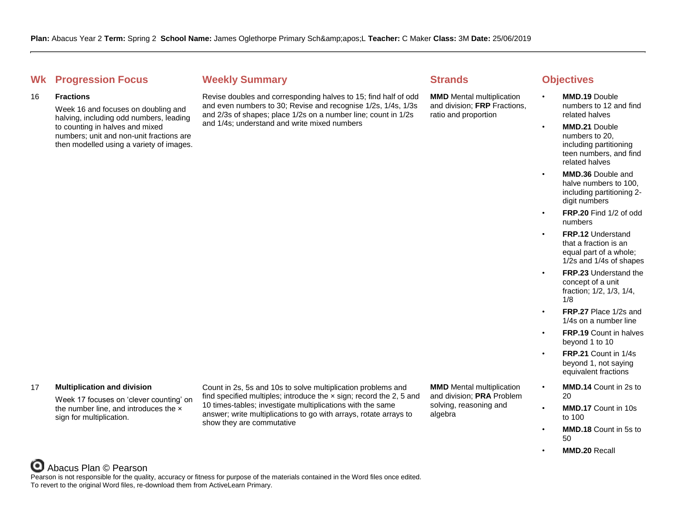# **Whene Weekly Summary Strands Objectives Objectives**

## 16 **Fractions**

Week 16 and focuses on doubling and halving, including odd numbers, leading to counting in halves and mixed numbers; unit and non-unit fractions are then modelled using a variety of images.

Revise doubles and corresponding halves to 15; find half of odd and even numbers to 30; Revise and recognise 1/2s, 1/4s, 1/3s and 2/3s of shapes; place 1/2s on a number line; count in 1/2s and 1/4s; understand and write mixed numbers

**MMD** Mental multiplication and division; **FRP** Fractions, ratio and proportion

- **MMD.19** Double numbers to 12 and find related halves
- **MMD.21** Double numbers to 20, including partitioning teen numbers, and find related halves
	- **MMD.36** Double and halve numbers to 100, including partitioning 2 digit numbers
- **FRP.20** Find 1/2 of odd numbers
- **FRP.12** Understand that a fraction is an equal part of a whole; 1/2s and 1/4s of shapes
- **FRP.23** Understand the concept of a unit fraction; 1/2, 1/3, 1/4, 1/8
- **FRP.27** Place 1/2s and 1/4s on a number line
- **FRP.19** Count in halves beyond 1 to 10
- **FRP.21** Count in 1/4s beyond 1, not saying equivalent fractions
- **MMD.14** Count in 2s to 20
	- **MMD.17** Count in 10s to 100
- **MMD.18** Count in 5s to 50
	- **MMD.20** Recall

# 17 **Multiplication and division**

Week 17 focuses on 'clever counting' on the number line, and introduces the x sign for multiplication.

Count in 2s, 5s and 10s to solve multiplication problems and find specified multiples; introduce the  $\times$  sign; record the 2, 5 and 10 times-tables; investigate multiplications with the same answer; write multiplications to go with arrays, rotate arrays to show they are commutative

**MMD** Mental multiplication and division; **PRA** Problem solving, reasoning and algebra

### O Abacus Plan © Pearson

Pearson is not responsible for the quality, accuracy or fitness for purpose of the materials contained in the Word files once edited. To revert to the original Word files, re-download them from ActiveLearn Primary.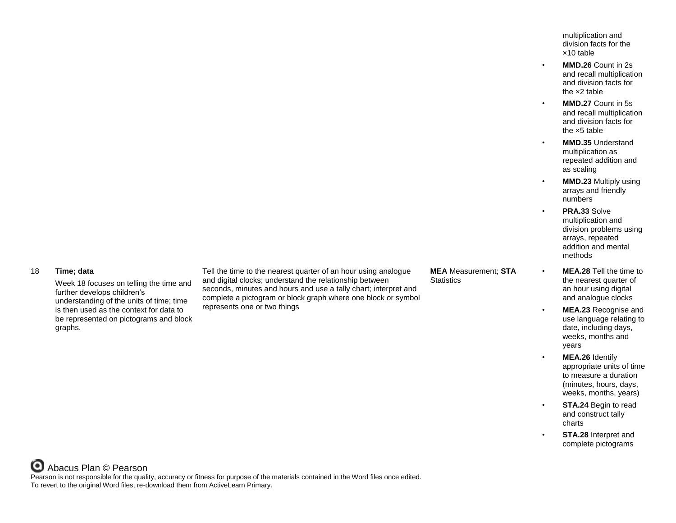multiplication and division facts for the ×10 table

- **MMD.26** Count in 2s and recall multiplication and division facts for the ×2 table
- **MMD.27** Count in 5s and recall multiplication and division facts for the ×5 table
- **MMD.35** Understand multiplication as repeated addition and as scaling
- **MMD.23** Multiply using arrays and friendly numbers
	- **PRA.33** Solve multiplication and division problems using arrays, repeated addition and mental methods
- **MEA.28** Tell the time to the nearest quarter of an hour using digital and analogue clocks
- **MEA.23** Recognise and use language relating to date, including days, weeks, months and years
	- **MEA.26** Identify appropriate units of time to measure a duration (minutes, hours, days, weeks, months, years)
	- **STA.24 Begin to read** and construct tally charts
	- **STA.28** Interpret and complete pictograms

# 18 **Time; data**

Week 18 focuses on telling the time and further develops children's understanding of the units of time; time is then used as the context for data to be represented on pictograms and block graphs.

Tell the time to the nearest quarter of an hour using analogue and digital clocks; understand the relationship between seconds, minutes and hours and use a tally chart; interpret and complete a pictogram or block graph where one block or symbol represents one or two things

# **MEA** Measurement; **STA Statistics**

Abacus Plan © Pearson Pearson is not responsible for the quality, accuracy or fitness for purpose of the materials contained in the Word files once edited. To revert to the original Word files, re-download them from ActiveLearn Primary.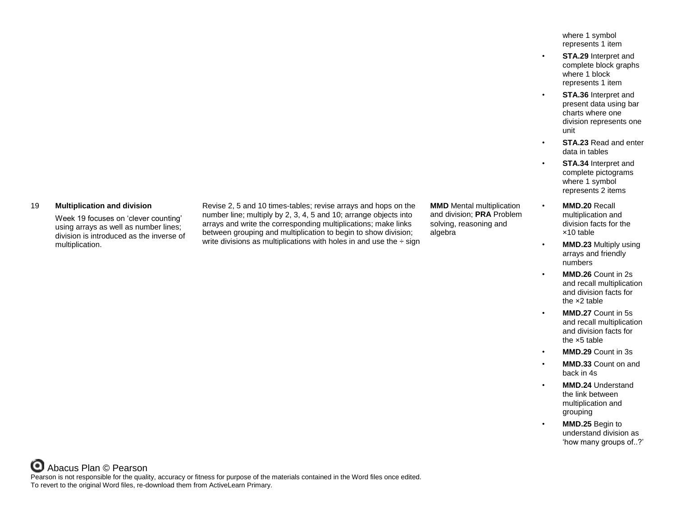where 1 symbol represents 1 item

- **STA.29** Interpret and complete block graphs where 1 block represents 1 item
- **STA.36** Interpret and present data using bar charts where one division represents one unit
	- **STA.23** Read and enter data in tables
- **STA.34** Interpret and complete pictograms where 1 symbol represents 2 items
- **MMD.20** Recall multiplication and division facts for the ×10 table
	- **MMD.23** Multiply using arrays and friendly numbers
	- **MMD.26** Count in 2s and recall multiplication and division facts for the ×2 table
- **MMD.27** Count in 5s and recall multiplication and division facts for the ×5 table
- **MMD.29** Count in 3s
- **MMD.33** Count on and back in 4s
- **MMD.24** Understand the link between multiplication and grouping
- **MMD.25** Begin to understand division as 'how many groups of..?'

# 19 **Multiplication and division**

Week 19 focuses on 'clever counting' using arrays as well as number lines; division is introduced as the inverse of multiplication.

Revise 2, 5 and 10 times-tables; revise arrays and hops on the number line; multiply by 2, 3, 4, 5 and 10; arrange objects into arrays and write the corresponding multiplications; make links between grouping and multiplication to begin to show division; write divisions as multiplications with holes in and use the  $\div$  sign

**MMD** Mental multiplication and division; **PRA** Problem solving, reasoning and algebra

Abacus Plan © Pearson Pearson is not responsible for the quality, accuracy or fitness for purpose of the materials contained in the Word files once edited. To revert to the original Word files, re-download them from ActiveLearn Primary.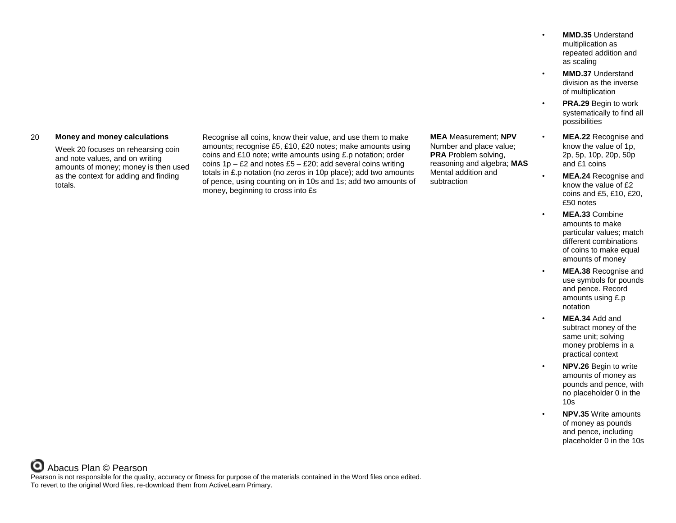### 20 **Money and money calculations**

Week 20 focuses on rehearsing coin and note values, and on writing amounts of money; money is then used as the context for adding and finding totals.

Recognise all coins, know their value, and use them to make amounts; recognise £5, £10, £20 notes; make amounts using coins and £10 note; write amounts using £.p notation; order coins  $1p - E2$  and notes  $E5 - E20$ ; add several coins writing totals in £.p notation (no zeros in 10p place); add two amounts of pence, using counting on in 10s and 1s; add two amounts of money, beginning to cross into £s

**MEA** Measurement; **NPV** Number and place value; **PRA** Problem solving, reasoning and algebra; **MAS** Mental addition and subtraction

- **MMD.35** Understand multiplication as repeated addition and as scaling
- **MMD.37** Understand division as the inverse of multiplication
- **PRA.29 Begin to work** systematically to find all possibilities
- **MEA.22** Recognise and know the value of 1p, 2p, 5p, 10p, 20p, 50p and £1 coins
- **MEA.24** Recognise and know the value of £2 coins and £5, £10, £20, £50 notes
	- **MEA.33** Combine amounts to make particular values; match different combinations of coins to make equal amounts of money
	- **MEA.38** Recognise and use symbols for pounds and pence. Record amounts using £.p notation
	- **MEA.34** Add and subtract money of the same unit; solving money problems in a practical context
	- **NPV.26** Begin to write amounts of money as pounds and pence, with no placeholder 0 in the 10s
	- **NPV.35** Write amounts of money as pounds and pence, including placeholder 0 in the 10s